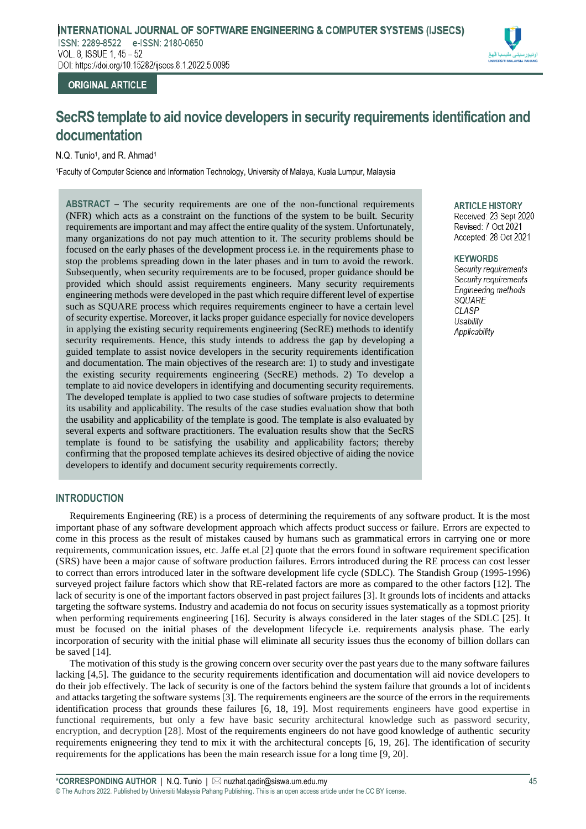## **INTRODUCTION**

Requirements Engineering (RE) is a process of determining the requirements of any software product. It is the most important phase of any software development approach which affects product success or failure. Errors are expected to come in this process as the result of mistakes caused by humans such as grammatical errors in carrying one or more requirements, communication issues, etc. Jaffe et.al [2] quote that the errors found in software requirement specification (SRS) have been a major cause of software production failures. Errors introduced during the RE process can cost lesser to correct than errors introduced later in the software development life cycle (SDLC). The Standish Group (1995-1996) surveyed project failure factors which show that RE-related factors are more as compared to the other factors [12]. The lack of security is one of the important factors observed in past project failures [3]. It grounds lots of incidents and attacks targeting the software systems. Industry and academia do not focus on security issues systematically as a topmost priority when performing requirements engineering [16]. Security is always considered in the later stages of the SDLC [25]. It must be focused on the initial phases of the development lifecycle i.e. requirements analysis phase. The early incorporation of security with the initial phase will eliminate all security issues thus the economy of billion dollars can be saved [14].

The motivation of this study is the growing concern over security over the past years due to the many software failures lacking [4,5]. The guidance to the security requirements identification and documentation will aid novice developers to do their job effectively. The lack of security is one of the factors behind the system failure that grounds a lot of incidents and attacks targeting the software systems [3]. The requirements engineers are the source of the errors in the requirements identification process that grounds these failures [6, 18, 19]. Most requirements engineers have good expertise in functional requirements, but only a few have basic security architectural knowledge such as password security, encryption, and decryption [28]. Most of the requirements engineers do not have good knowledge of authentic security requirements enigneering they tend to mix it with the architectural concepts [6, 19, 26]. The identification of security requirements for the applications has been the main research issue for a long time [9, 20].

# **ORIGINAL ARTICLE**

VOL. 8, ISSUE 1, 45 - 52

ISSN: 2289-8522 e-ISSN: 2180-0650

DOI: https://doi.org/10.15282/ijsecs.8.1.2022.5.0095

# **SecRS template to aid novice developers in security requirements identification and documentation**

**INTERNATIONAL JOURNAL OF SOFTWARE ENGINEERING & COMPUTER SYSTEMS (IJSECS)**

N.Q. Tunio<sup>1</sup>, and R. Ahmad<sup>1</sup>

<sup>1</sup>Faculty of Computer Science and Information Technology, University of Malaya, Kuala Lumpur, Malaysia

**ABSTRACT** – The security requirements are one of the non-functional requirements (NFR) which acts as a constraint on the functions of the system to be built. Security requirements are important and may affect the entire quality of the system. Unfortunately, many organizations do not pay much attention to it. The security problems should be focused on the early phases of the development process i.e. in the requirements phase to stop the problems spreading down in the later phases and in turn to avoid the rework. Subsequently, when security requirements are to be focused, proper guidance should be provided which should assist requirements engineers. Many security requirements engineering methods were developed in the past which require different level of expertise such as SQUARE process which requires requirements engineer to have a certain level of security expertise. Moreover, it lacks proper guidance especially for novice developers in applying the existing security requirements engineering (SecRE) methods to identify security requirements. Hence, this study intends to address the gap by developing a guided template to assist novice developers in the security requirements identification and documentation. The main objectives of the research are: 1) to study and investigate the existing security requirements engineering (SecRE) methods. 2) To develop a template to aid novice developers in identifying and documenting security requirements. The developed template is applied to two case studies of software projects to determine its usability and applicability. The results of the case studies evaluation show that both

#### **ARTICLE HISTORY** ARIICLE Received: . Accepted: 28 Oct 2021

#### *Security requirements*

**Security requirements** Security requirements **Engineering methods** SQUARE *Applicability* Usability Applicability

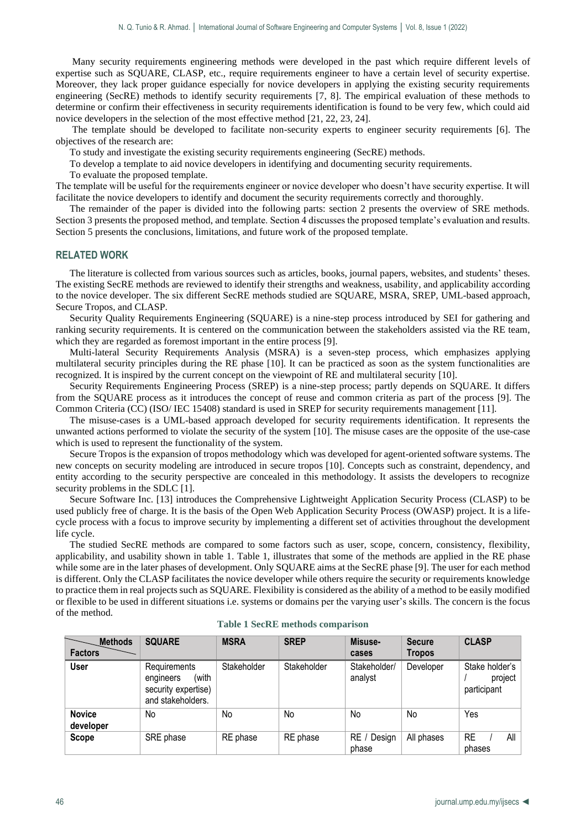Many security requirements engineering methods were developed in the past which require different levels of expertise such as SQUARE, CLASP, etc., require requirements engineer to have a certain level of security expertise. Moreover, they lack proper guidance especially for novice developers in applying the existing security requirements engineering (SecRE) methods to identify security requirements [7, 8]. The empirical evaluation of these methods to determine or confirm their effectiveness in security requirements identification is found to be very few, which could aid novice developers in the selection of the most effective method [21, 22, 23, 24].

The template should be developed to facilitate non-security experts to engineer security requirements [6]. The objectives of the research are:

To study and investigate the existing security requirements engineering (SecRE) methods.

To develop a template to aid novice developers in identifying and documenting security requirements.

To evaluate the proposed template.

The template will be useful for the requirements engineer or novice developer who doesn't have security expertise. It will facilitate the novice developers to identify and document the security requirements correctly and thoroughly.

The remainder of the paper is divided into the following parts: section 2 presents the overview of SRE methods. Section 3 presents the proposed method, and template. Section 4 discusses the proposed template's evaluation and results. Section 5 presents the conclusions, limitations, and future work of the proposed template.

#### **RELATED WORK**

The literature is collected from various sources such as articles, books, journal papers, websites, and students' theses. The existing SecRE methods are reviewed to identify their strengths and weakness, usability, and applicability according to the novice developer. The six different SecRE methods studied are SQUARE, MSRA, SREP, UML-based approach, Secure Tropos, and CLASP.

Security Quality Requirements Engineering (SQUARE) is a nine-step process introduced by SEI for gathering and ranking security requirements. It is centered on the communication between the stakeholders assisted via the RE team, which they are regarded as foremost important in the entire process [9].

Multi-lateral Security Requirements Analysis (MSRA) is a seven-step process, which emphasizes applying multilateral security principles during the RE phase [10]. It can be practiced as soon as the system functionalities are recognized. It is inspired by the current concept on the viewpoint of RE and multilateral security [10].

Security Requirements Engineering Process (SREP) is a nine-step process; partly depends on SQUARE. It differs from the SQUARE process as it introduces the concept of reuse and common criteria as part of the process [9]. The Common Criteria (CC) (ISO/ IEC 15408) standard is used in SREP for security requirements management [11].

The misuse-cases is a UML-based approach developed for security requirements identification. It represents the unwanted actions performed to violate the security of the system [10]. The misuse cases are the opposite of the use-case which is used to represent the functionality of the system.

Secure Tropos is the expansion of tropos methodology which was developed for agent-oriented software systems. The new concepts on security modeling are introduced in secure tropos [10]. Concepts such as constraint, dependency, and entity according to the security perspective are concealed in this methodology. It assists the developers to recognize security problems in the SDLC [1].

Secure Software Inc. [13] introduces the Comprehensive Lightweight Application Security Process (CLASP) to be used publicly free of charge. It is the basis of the Open Web Application Security Process (OWASP) project. It is a lifecycle process with a focus to improve security by implementing a different set of activities throughout the development life cycle.

The studied SecRE methods are compared to some factors such as user, scope, concern, consistency, flexibility, applicability, and usability shown in table 1. Table 1, illustrates that some of the methods are applied in the RE phase while some are in the later phases of development. Only SQUARE aims at the SecRE phase [9]. The user for each method is different. Only the CLASP facilitates the novice developer while others require the security or requirements knowledge to practice them in real projects such as SQUARE. Flexibility is considered as the ability of a method to be easily modified or flexible to be used in different situations i.e. systems or domains per the varying user's skills. The concern is the focus of the method.

| <b>Methods</b><br><b>Factors</b> | <b>SQUARE</b>                                                                  | <b>MSRA</b> | <b>SREP</b> | Misuse-<br>cases        | <b>Secure</b><br><b>Tropos</b> | <b>CLASP</b>                             |
|----------------------------------|--------------------------------------------------------------------------------|-------------|-------------|-------------------------|--------------------------------|------------------------------------------|
| <b>User</b>                      | Requirements<br>(with<br>engineers<br>security expertise)<br>and stakeholders. | Stakeholder | Stakeholder | Stakeholder/<br>analyst | Developer                      | Stake holder's<br>project<br>participant |
| <b>Novice</b><br>developer       | No                                                                             | No          | No          | No                      | No                             | Yes                                      |
| Scope                            | SRE phase                                                                      | RE phase    | RE phase    | RE / Design<br>phase    | All phases                     | <b>RE</b><br>All<br>phases               |

#### **Table 1 SecRE methods comparison**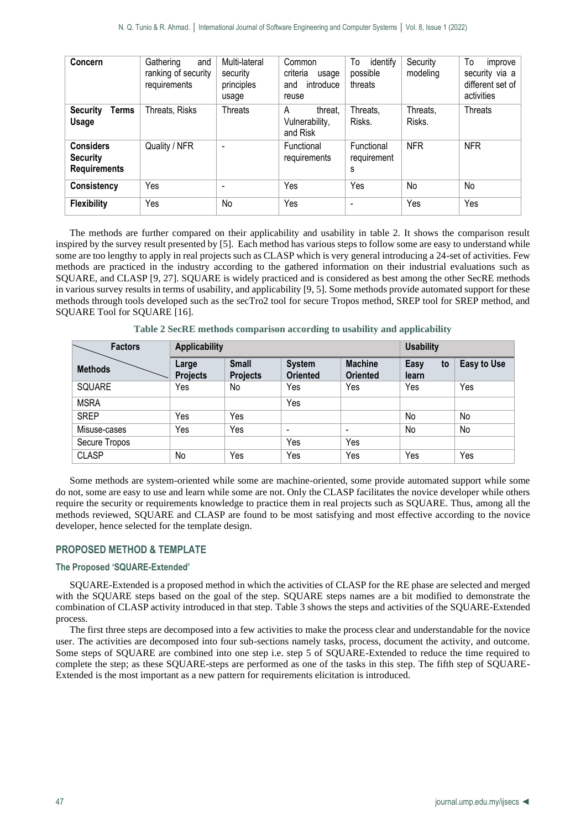| Concern                                                    | Gathering<br>and<br>ranking of security<br>requirements | Multi-lateral<br>security<br>principles<br>usage | Common<br>criteria<br>usage<br>introduce<br>and<br>reuse | To<br>identify<br>possible<br>threats | Security<br>modeling | To<br>improve<br>security via a<br>different set of<br>activities |
|------------------------------------------------------------|---------------------------------------------------------|--------------------------------------------------|----------------------------------------------------------|---------------------------------------|----------------------|-------------------------------------------------------------------|
| <b>Terms</b><br><b>Security</b><br><b>Usage</b>            | Threats, Risks                                          | <b>Threats</b>                                   | threat.<br>A<br>Vulnerability,<br>and Risk               | Threats,<br>Risks.                    | Threats,<br>Risks.   | <b>Threats</b>                                                    |
| <b>Considers</b><br><b>Security</b><br><b>Requirements</b> | Quality / NFR                                           | $\overline{\phantom{a}}$                         | Functional<br>requirements                               | Functional<br>requirement<br>S        | <b>NFR</b>           | <b>NFR</b>                                                        |
| <b>Consistency</b>                                         | Yes                                                     | $\overline{\phantom{0}}$                         | Yes                                                      | Yes                                   | No                   | No                                                                |
| <b>Flexibility</b>                                         | Yes                                                     | No                                               | Yes                                                      | $\overline{\phantom{0}}$              | Yes                  | Yes                                                               |

The methods are further compared on their applicability and usability in table 2. It shows the comparison result inspired by the survey result presented by [5]. Each method has various steps to follow some are easy to understand while some are too lengthy to apply in real projects such as CLASP which is very general introducing a 24-set of activities. Few methods are practiced in the industry according to the gathered information on their industrial evaluations such as SQUARE, and CLASP [9, 27]. SQUARE is widely practiced and is considered as best among the other SecRE methods in various survey results in terms of usability, and applicability [9, 5]. Some methods provide automated support for these methods through tools developed such as the secTro2 tool for secure Tropos method, SREP tool for SREP method, and SQUARE Tool for SQUARE [16].

| <b>Factors</b> | <b>Applicability</b>     |                                 | <b>Usability</b>                 |                                   |                     |             |
|----------------|--------------------------|---------------------------------|----------------------------------|-----------------------------------|---------------------|-------------|
| <b>Methods</b> | Large<br><b>Projects</b> | <b>Small</b><br><b>Projects</b> | <b>System</b><br><b>Oriented</b> | <b>Machine</b><br><b>Oriented</b> | Easy<br>to<br>learn | Easy to Use |
| SQUARE         | Yes                      | No                              | Yes                              | Yes                               | Yes                 | Yes         |
| <b>MSRA</b>    |                          |                                 | Yes                              |                                   |                     |             |
| <b>SREP</b>    | Yes                      | Yes                             |                                  |                                   | No                  | No          |
| Misuse-cases   | Yes                      | Yes                             | $\overline{\phantom{a}}$         | $\overline{\phantom{a}}$          | No                  | No          |
| Secure Tropos  |                          |                                 | Yes                              | Yes                               |                     |             |
| <b>CLASP</b>   | No                       | Yes                             | Yes                              | Yes                               | Yes                 | Yes         |

**Table 2 SecRE methods comparison according to usability and applicability**

Some methods are system-oriented while some are machine-oriented, some provide automated support while some do not, some are easy to use and learn while some are not. Only the CLASP facilitates the novice developer while others require the security or requirements knowledge to practice them in real projects such as SQUARE. Thus, among all the methods reviewed, SQUARE and CLASP are found to be most satisfying and most effective according to the novice developer, hence selected for the template design.

## **PROPOSED METHOD & TEMPLATE**

## **The Proposed 'SQUARE-Extended'**

SQUARE-Extended is a proposed method in which the activities of CLASP for the RE phase are selected and merged with the SQUARE steps based on the goal of the step. SQUARE steps names are a bit modified to demonstrate the combination of CLASP activity introduced in that step. Table 3 shows the steps and activities of the SQUARE-Extended process.

The first three steps are decomposed into a few activities to make the process clear and understandable for the novice user. The activities are decomposed into four sub-sections namely tasks, process, document the activity, and outcome. Some steps of SQUARE are combined into one step i.e. step 5 of SQUARE-Extended to reduce the time required to complete the step; as these SQUARE-steps are performed as one of the tasks in this step. The fifth step of SQUARE-Extended is the most important as a new pattern for requirements elicitation is introduced.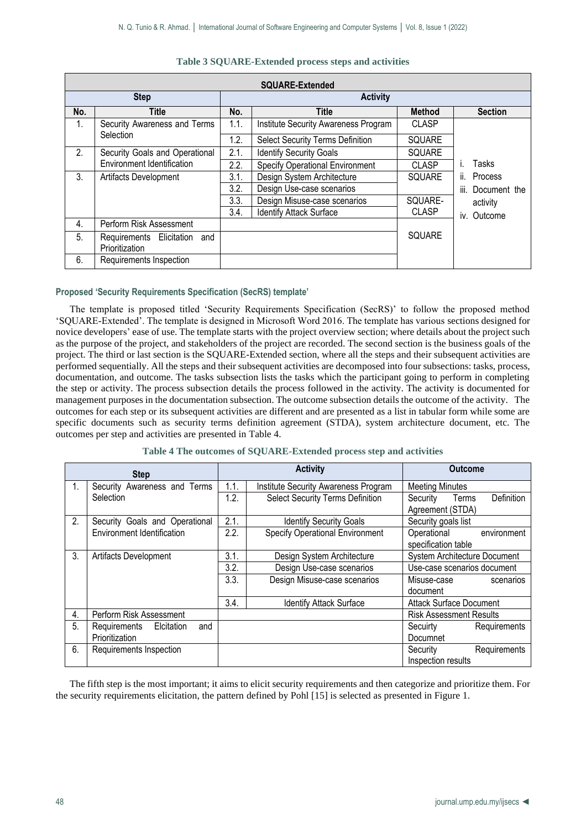|                | <b>SQUARE-Extended</b>                                       |      |                                        |               |                   |  |  |  |
|----------------|--------------------------------------------------------------|------|----------------------------------------|---------------|-------------------|--|--|--|
|                | <b>Step</b>                                                  |      | <b>Activity</b>                        |               |                   |  |  |  |
| No.            | <b>Title</b>                                                 | No.  | <b>Title</b>                           | <b>Method</b> | <b>Section</b>    |  |  |  |
| $1_{\cdot}$    | Security Awareness and Terms                                 | 1.1. | Institute Security Awareness Program   | <b>CLASP</b>  |                   |  |  |  |
|                | Selection                                                    | 1.2. | Select Security Terms Definition       | <b>SQUARE</b> |                   |  |  |  |
| 2 <sub>1</sub> | Security Goals and Operational<br>Environment Identification |      | <b>Identify Security Goals</b>         | <b>SQUARE</b> |                   |  |  |  |
|                |                                                              |      | <b>Specify Operational Environment</b> | <b>CLASP</b>  | Tasks             |  |  |  |
| 3.             | Artifacts Development                                        |      | Design System Architecture             | <b>SQUARE</b> | Process<br>II.    |  |  |  |
|                |                                                              | 3.2. | Design Use-case scenarios              |               | iii. Document the |  |  |  |
|                |                                                              | 3.3. | Design Misuse-case scenarios           | SQUARE-       | activity          |  |  |  |
|                |                                                              | 3.4. | <b>Identify Attack Surface</b>         | <b>CLASP</b>  | iv. Outcome       |  |  |  |
| 4.             | Perform Risk Assessment                                      |      |                                        |               |                   |  |  |  |
| 5.             | Requirements Elicitation<br>and<br>Prioritization            |      |                                        | <b>SQUARE</b> |                   |  |  |  |
| 6.             | Requirements Inspection                                      |      |                                        |               |                   |  |  |  |

#### **Table 3 SQUARE-Extended process steps and activities**

## **Proposed 'Security Requirements Specification (SecRS) template'**

The template is proposed titled 'Security Requirements Specification (SecRS)' to follow the proposed method 'SQUARE-Extended'. The template is designed in Microsoft Word 2016. The template has various sections designed for novice developers' ease of use. The template starts with the project overview section; where details about the project such as the purpose of the project, and stakeholders of the project are recorded. The second section is the business goals of the project. The third or last section is the SQUARE-Extended section, where all the steps and their subsequent activities are performed sequentially. All the steps and their subsequent activities are decomposed into four subsections: tasks, process, documentation, and outcome. The tasks subsection lists the tasks which the participant going to perform in completing the step or activity. The process subsection details the process followed in the activity. The activity is documented for management purposes in the documentation subsection. The outcome subsection details the outcome of the activity. The outcomes for each step or its subsequent activities are different and are presented as a list in tabular form while some are specific documents such as security terms definition agreement (STDA), system architecture document, etc. The outcomes per step and activities are presented in Table 4.

| Table 4 The outcomes of SQUARE-Extended process step and activities |  |  |
|---------------------------------------------------------------------|--|--|
|---------------------------------------------------------------------|--|--|

| <b>Step</b> |                                   |      | <b>Activity</b>                        | <b>Outcome</b>                 |              |  |
|-------------|-----------------------------------|------|----------------------------------------|--------------------------------|--------------|--|
| 1.          | Security Awareness and Terms      | 1.1. | Institute Security Awareness Program   | <b>Meeting Minutes</b>         |              |  |
|             | Selection                         | 1.2. | Select Security Terms Definition       | Security<br>Terms              | Definition   |  |
|             |                                   |      |                                        | Agreement (STDA)               |              |  |
| 2.          | Security Goals and Operational    | 2.1. | <b>Identify Security Goals</b>         | Security goals list            |              |  |
|             | Environment Identification        | 2.2. | <b>Specify Operational Environment</b> | Operational                    | environment  |  |
|             |                                   |      |                                        | specification table            |              |  |
| 3.          | Artifacts Development             |      | Design System Architecture             | System Architecture Document   |              |  |
|             |                                   | 3.2. | Design Use-case scenarios              | Use-case scenarios document    |              |  |
|             |                                   | 3.3. | Design Misuse-case scenarios           | Misuse-case                    | scenarios    |  |
|             |                                   |      |                                        | document                       |              |  |
|             |                                   | 3.4. | <b>Identify Attack Surface</b>         | <b>Attack Surface Document</b> |              |  |
| 4.          | Perform Risk Assessment           |      |                                        | <b>Risk Assessment Results</b> |              |  |
| 5.          | Elcitation<br>Requirements<br>and |      |                                        | Secuirty                       | Requirements |  |
|             | Prioritization                    |      |                                        | Documnet                       |              |  |
| 6.          | Requirements Inspection           |      |                                        | Security                       | Requirements |  |
|             |                                   |      |                                        | Inspection results             |              |  |

The fifth step is the most important; it aims to elicit security requirements and then categorize and prioritize them. For the security requirements elicitation, the pattern defined by Pohl [15] is selected as presented in Figure 1.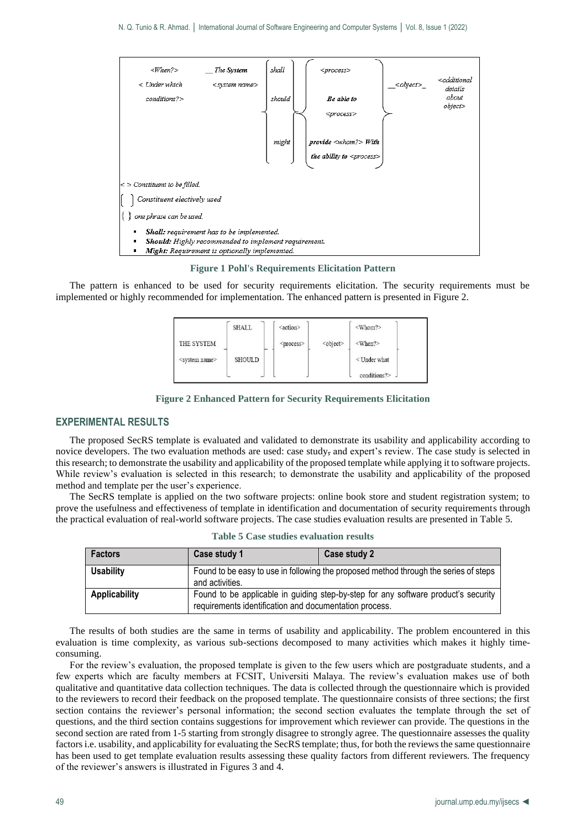

**Figure 1 Pohl's Requirements Elicitation Pattern**

The pattern is enhanced to be used for security requirements elicitation. The security requirements must be implemented or highly recommended for implementation. The enhanced pattern is presented in Figure 2.

|                           | <b>SHALL</b> | <action></action>   |                   | <whom?></whom?> |
|---------------------------|--------------|---------------------|-------------------|-----------------|
| THE SYSTEM                |              | <process></process> | <object></object> | $<$ When? $>$   |
| <system name=""></system> | SHOULD       |                     |                   | $<$ Under what  |
|                           |              |                     |                   | conditions?>    |

**Figure 2 Enhanced Pattern for Security Requirements Elicitation**

#### **EXPERIMENTAL RESULTS**

The proposed SecRS template is evaluated and validated to demonstrate its usability and applicability according to novice developers. The two evaluation methods are used: case study, and expert's review. The case study is selected in this research; to demonstrate the usability and applicability of the proposed template while applying it to software projects. While review's evaluation is selected in this research; to demonstrate the usability and applicability of the proposed method and template per the user's experience.

The SecRS template is applied on the two software projects: online book store and student registration system; to prove the usefulness and effectiveness of template in identification and documentation of security requirements through the practical evaluation of real-world software projects. The case studies evaluation results are presented in Table 5.

| <b>Factors</b>   | Case study 1                                                                                            | Case study 2                                                                       |  |  |  |
|------------------|---------------------------------------------------------------------------------------------------------|------------------------------------------------------------------------------------|--|--|--|
| <b>Usability</b> | Found to be easy to use in following the proposed method through the series of steps<br>and activities. |                                                                                    |  |  |  |
| Applicability    | requirements identification and documentation process.                                                  | Found to be applicable in guiding step-by-step for any software product's security |  |  |  |

|  |  |  | <b>Table 5 Case studies evaluation results</b> |  |
|--|--|--|------------------------------------------------|--|
|--|--|--|------------------------------------------------|--|

The results of both studies are the same in terms of usability and applicability. The problem encountered in this evaluation is time complexity, as various sub-sections decomposed to many activities which makes it highly timeconsuming.

For the review's evaluation, the proposed template is given to the few users which are postgraduate students, and a few experts which are faculty members at FCSIT, Universiti Malaya. The review's evaluation makes use of both qualitative and quantitative data collection techniques. The data is collected through the questionnaire which is provided to the reviewers to record their feedback on the proposed template. The questionnaire consists of three sections; the first section contains the reviewer's personal information; the second section evaluates the template through the set of questions, and the third section contains suggestions for improvement which reviewer can provide. The questions in the second section are rated from 1-5 starting from strongly disagree to strongly agree. The questionnaire assesses the quality factors i.e. usability, and applicability for evaluating the SecRS template; thus, for both the reviews the same questionnaire has been used to get template evaluation results assessing these quality factors from different reviewers. The frequency of the reviewer's answers is illustrated in Figures 3 and 4.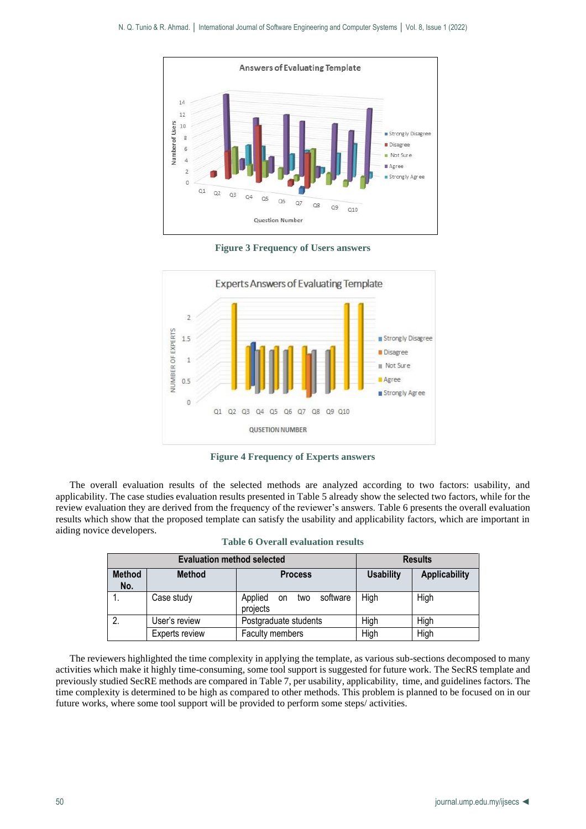

**Figure 3 Frequency of Users answers**



**Figure 4 Frequency of Experts answers**

The overall evaluation results of the selected methods are analyzed according to two factors: usability, and applicability. The case studies evaluation results presented in Table 5 already show the selected two factors, while for the review evaluation they are derived from the frequency of the reviewer's answers. Table 6 presents the overall evaluation results which show that the proposed template can satisfy the usability and applicability factors, which are important in aiding novice developers.

|                      | <b>Evaluation method selected</b> | <b>Results</b>                            |                  |                      |
|----------------------|-----------------------------------|-------------------------------------------|------------------|----------------------|
| <b>Method</b><br>No. | <b>Method</b>                     | <b>Process</b>                            | <b>Usability</b> | <b>Applicability</b> |
| 1.                   | Case study                        | software<br>Applied<br>on two<br>projects | High             | High                 |
| 2.                   | User's review                     | Postgraduate students                     | High             | High                 |
|                      | Experts review                    | Faculty members                           | High             | High                 |

|  |  | <b>Table 6 Overall evaluation results</b> |  |
|--|--|-------------------------------------------|--|
|--|--|-------------------------------------------|--|

The reviewers highlighted the time complexity in applying the template, as various sub-sections decomposed to many activities which make it highly time-consuming, some tool support is suggested for future work. The SecRS template and previously studied SecRE methods are compared in Table 7, per usability, applicability, time, and guidelines factors. The time complexity is determined to be high as compared to other methods. This problem is planned to be focused on in our future works, where some tool support will be provided to perform some steps/ activities.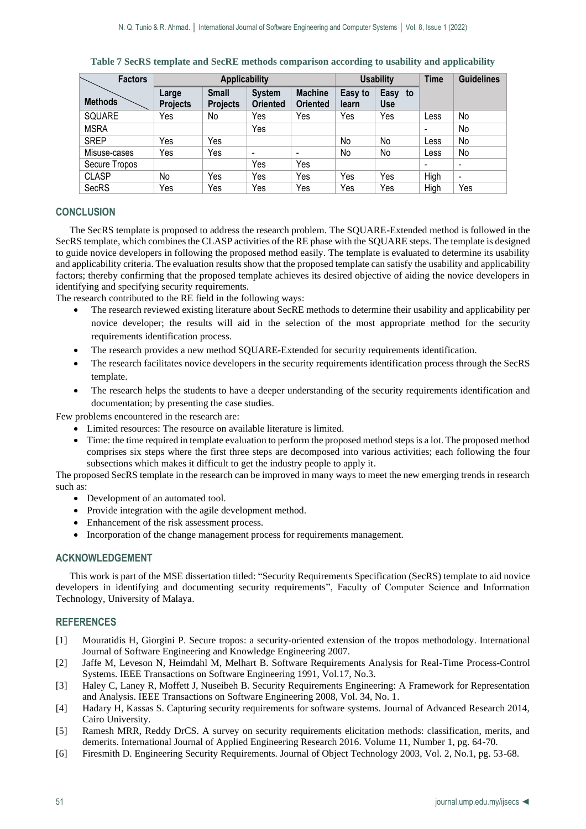| <b>Factors</b> |                          | <b>Applicability</b>            |                                  |                                   |                  | <b>Usability</b>         |      | <b>Guidelines</b>            |
|----------------|--------------------------|---------------------------------|----------------------------------|-----------------------------------|------------------|--------------------------|------|------------------------------|
| <b>Methods</b> | Large<br><b>Projects</b> | <b>Small</b><br><b>Projects</b> | <b>System</b><br><b>Oriented</b> | <b>Machine</b><br><b>Oriented</b> | Easy to<br>learn | Easy<br>to<br><b>Use</b> |      |                              |
| SQUARE         | Yes                      | No                              | Yes                              | Yes                               | Yes              | Yes                      | Less | No                           |
| <b>MSRA</b>    |                          |                                 | Yes                              |                                   |                  |                          |      | No                           |
| <b>SREP</b>    | Yes                      | Yes                             |                                  |                                   | No               | No                       | Less | No                           |
| Misuse-cases   | Yes                      | Yes                             | $\overline{\phantom{a}}$         | $\overline{\phantom{a}}$          | No               | No                       | Less | No                           |
| Secure Tropos  |                          |                                 | Yes                              | Yes                               |                  |                          |      | -                            |
| <b>CLASP</b>   | No                       | Yes                             | Yes                              | Yes                               | Yes              | Yes                      | High | $\qquad \qquad \blacksquare$ |
| <b>SecRS</b>   | Yes                      | Yes                             | Yes                              | Yes                               | Yes              | Yes                      | High | Yes                          |

#### **Table 7 SecRS template and SecRE methods comparison according to usability and applicability**

# **CONCLUSION**

The SecRS template is proposed to address the research problem. The SQUARE-Extended method is followed in the SecRS template, which combines the CLASP activities of the RE phase with the SQUARE steps. The template is designed to guide novice developers in following the proposed method easily. The template is evaluated to determine its usability and applicability criteria. The evaluation results show that the proposed template can satisfy the usability and applicability factors; thereby confirming that the proposed template achieves its desired objective of aiding the novice developers in identifying and specifying security requirements.

The research contributed to the RE field in the following ways:

- The research reviewed existing literature about SecRE methods to determine their usability and applicability per novice developer; the results will aid in the selection of the most appropriate method for the security requirements identification process.
- The research provides a new method SQUARE-Extended for security requirements identification.
- The research facilitates novice developers in the security requirements identification process through the SecRS template.
- The research helps the students to have a deeper understanding of the security requirements identification and documentation; by presenting the case studies.

Few problems encountered in the research are:

- Limited resources: The resource on available literature is limited.
- Time: the time required in template evaluation to perform the proposed method steps is a lot. The proposed method comprises six steps where the first three steps are decomposed into various activities; each following the four subsections which makes it difficult to get the industry people to apply it.

The proposed SecRS template in the research can be improved in many ways to meet the new emerging trends in research such as:

- Development of an automated tool.
- Provide integration with the agile development method.
- Enhancement of the risk assessment process.
- Incorporation of the change management process for requirements management.

## **ACKNOWLEDGEMENT**

This work is part of the MSE dissertation titled: "Security Requirements Specification (SecRS) template to aid novice developers in identifying and documenting security requirements", Faculty of Computer Science and Information Technology, University of Malaya.

# **REFERENCES**

- [1] Mouratidis H, Giorgini P. Secure tropos: a security-oriented extension of the tropos methodology. International Journal of Software Engineering and Knowledge Engineering 2007.
- [2] Jaffe M, Leveson N, Heimdahl M, Melhart B. Software Requirements Analysis for Real-Time Process-Control Systems. IEEE Transactions on Software Engineering 1991, Vol.17, No.3.
- [3] Haley C, Laney R, Moffett J, Nuseibeh B. Security Requirements Engineering: A Framework for Representation and Analysis. IEEE Transactions on Software Engineering 2008, Vol. 34, No. 1.
- [4] Hadary H, Kassas S. Capturing security requirements for software systems. Journal of Advanced Research 2014, Cairo University.
- [5] Ramesh MRR, Reddy DrCS. A survey on security requirements elicitation methods: classification, merits, and demerits. International Journal of Applied Engineering Research 2016. Volume 11, Number 1, pg. 64-70.
- [6] Firesmith D. Engineering Security Requirements. Journal of Object Technology 2003, Vol. 2, No.1, pg. 53-68.